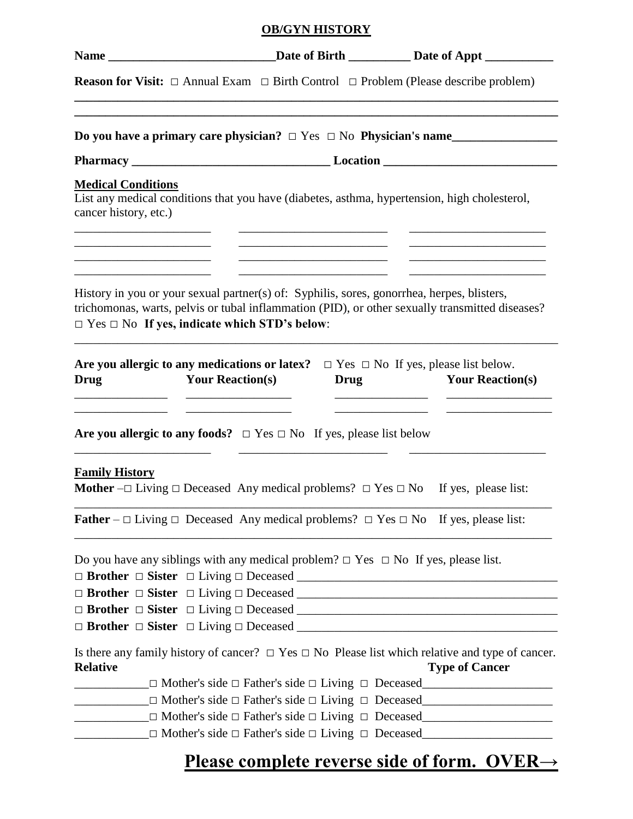## **OB/GYN HISTORY**

|                                                                                                                                                                                                                                                     |                         |                                                                                           |      | Name __________________________________Date of Birth ______________Date of Appt ____________________                                                                                                                                                                                                                                    |
|-----------------------------------------------------------------------------------------------------------------------------------------------------------------------------------------------------------------------------------------------------|-------------------------|-------------------------------------------------------------------------------------------|------|-----------------------------------------------------------------------------------------------------------------------------------------------------------------------------------------------------------------------------------------------------------------------------------------------------------------------------------------|
|                                                                                                                                                                                                                                                     |                         |                                                                                           |      | <b>Reason for Visit:</b> $\Box$ Annual Exam $\Box$ Birth Control $\Box$ Problem (Please describe problem)                                                                                                                                                                                                                               |
|                                                                                                                                                                                                                                                     |                         |                                                                                           |      | Do you have a primary care physician? $\Box$ Yes $\Box$ No Physician's name                                                                                                                                                                                                                                                             |
|                                                                                                                                                                                                                                                     |                         |                                                                                           |      |                                                                                                                                                                                                                                                                                                                                         |
| <b>Medical Conditions</b><br>List any medical conditions that you have (diabetes, asthma, hypertension, high cholesterol,<br>cancer history, etc.)                                                                                                  |                         |                                                                                           |      |                                                                                                                                                                                                                                                                                                                                         |
| the control of the control of the control of the control of the control of the control of<br>History in you or your sexual partner(s) of: Syphilis, sores, gonorrhea, herpes, blisters,<br>$\Box$ Yes $\Box$ No If yes, indicate which STD's below: |                         | the control of the control of the control of the control of the control of the control of |      | <u>and the state of the state of the state of the state of the state of the state of the state of the state of the state of the state of the state of the state of the state of the state of the state of the state of the state</u><br>trichomonas, warts, pelvis or tubal inflammation (PID), or other sexually transmitted diseases? |
| Are you allergic to any medications or latex? $\Box$ Yes $\Box$ No If yes, please list below.<br><b>Drug</b>                                                                                                                                        | <b>Your Reaction(s)</b> |                                                                                           | Drug | <b>Your Reaction(s)</b>                                                                                                                                                                                                                                                                                                                 |
| Are you allergic to any foods? $\Box$ Yes $\Box$ No If yes, please list below                                                                                                                                                                       |                         |                                                                                           |      |                                                                                                                                                                                                                                                                                                                                         |
| <b>Family History</b><br><b>Mother</b> $-\Box$ Living $\Box$ Deceased Any medical problems? $\Box$ Yes $\Box$ No If yes, please list:                                                                                                               |                         |                                                                                           |      |                                                                                                                                                                                                                                                                                                                                         |
| <b>Father</b> – $\Box$ Living $\Box$ Deceased Any medical problems? $\Box$ Yes $\Box$ No If yes, please list:                                                                                                                                       |                         |                                                                                           |      |                                                                                                                                                                                                                                                                                                                                         |
| Do you have any siblings with any medical problem? $\Box$ Yes $\Box$ No If yes, please list.                                                                                                                                                        |                         |                                                                                           |      |                                                                                                                                                                                                                                                                                                                                         |
|                                                                                                                                                                                                                                                     |                         |                                                                                           |      |                                                                                                                                                                                                                                                                                                                                         |
| <b>Relative</b>                                                                                                                                                                                                                                     |                         |                                                                                           |      | Is there any family history of cancer? $\Box$ Yes $\Box$ No Please list which relative and type of cancer.<br><b>Type of Cancer</b><br>$\Box$ Mother's side $\Box$ Father's side $\Box$ Living $\Box$ Deceased                                                                                                                          |
|                                                                                                                                                                                                                                                     |                         |                                                                                           |      | $\Box$ Mother's side $\Box$ Father's side $\Box$ Living $\Box$ Deceased                                                                                                                                                                                                                                                                 |
|                                                                                                                                                                                                                                                     |                         |                                                                                           |      | $\Box$ Mother's side $\Box$ Father's side $\Box$ Living $\Box$ Deceased                                                                                                                                                                                                                                                                 |
|                                                                                                                                                                                                                                                     |                         |                                                                                           |      | $\Box$ Mother's side $\Box$ Father's side $\Box$ Living $\Box$ Deceased                                                                                                                                                                                                                                                                 |

## **Please complete reverse side of form. OVER→**